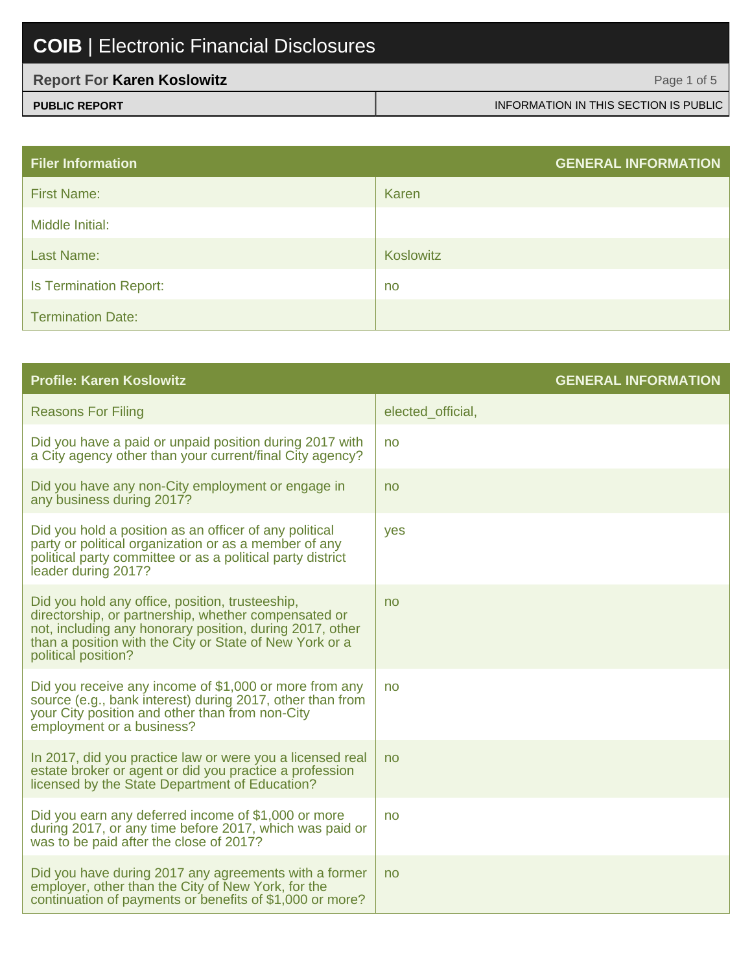| <b>Report For Karen Koslowitz</b> | Page 1 of 5                           |
|-----------------------------------|---------------------------------------|
| <b>PUBLIC REPORT</b>              | INFORMATION IN THIS SECTION IS PUBLIC |

| <b>Filer Information</b>      | <b>GENERAL INFORMATION</b> |
|-------------------------------|----------------------------|
| <b>First Name:</b>            | Karen                      |
| Middle Initial:               |                            |
| Last Name:                    | Koslowitz                  |
| <b>Is Termination Report:</b> | no                         |
| <b>Termination Date:</b>      |                            |

| <b>Profile: Karen Koslowitz</b>                                                                                                                                                                                                                       | <b>GENERAL INFORMATION</b> |
|-------------------------------------------------------------------------------------------------------------------------------------------------------------------------------------------------------------------------------------------------------|----------------------------|
| <b>Reasons For Filing</b>                                                                                                                                                                                                                             | elected official,          |
| Did you have a paid or unpaid position during 2017 with<br>a City agency other than your current/final City agency?                                                                                                                                   | no                         |
| Did you have any non-City employment or engage in<br>any business during 2017?                                                                                                                                                                        | no                         |
| Did you hold a position as an officer of any political<br>party or political organization or as a member of any<br>political party committee or as a political party district<br>leader during 2017?                                                  | yes                        |
| Did you hold any office, position, trusteeship,<br>directorship, or partnership, whether compensated or<br>not, including any honorary position, during 2017, other<br>than a position with the City or State of New York or a<br>political position? | no                         |
| Did you receive any income of \$1,000 or more from any<br>source (e.g., bank interest) during 2017, other than from<br>your City position and other than from non-City<br>employment or a business?                                                   | no                         |
| In 2017, did you practice law or were you a licensed real<br>estate broker or agent or did you practice a profession<br>licensed by the State Department of Education?                                                                                | no                         |
| Did you earn any deferred income of \$1,000 or more<br>during 2017, or any time before 2017, which was paid or<br>was to be paid after the close of 2017?                                                                                             | no                         |
| Did you have during 2017 any agreements with a former<br>employer, other than the City of New York, for the<br>continuation of payments or benefits of \$1,000 or more?                                                                               | no                         |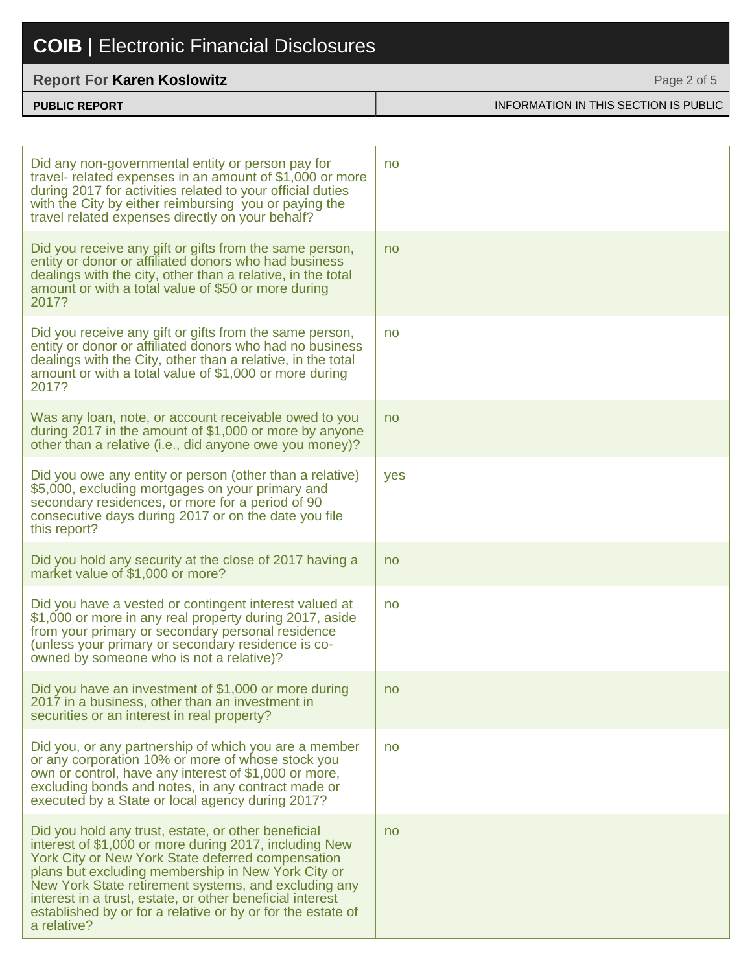#### **Report For Karen Koslowitz**

| <b>PUBLIC REPORT</b> | INFORMATION IN THIS SECTION IS PUBLIC |
|----------------------|---------------------------------------|

Page 2 of 5

| Did any non-governmental entity or person pay for<br>travel- related expenses in an amount of \$1,000 or more<br>during 2017 for activities related to your official duties<br>with the City by either reimbursing you or paying the<br>travel related expenses directly on your behalf?                                                                                                                                    | no  |
|-----------------------------------------------------------------------------------------------------------------------------------------------------------------------------------------------------------------------------------------------------------------------------------------------------------------------------------------------------------------------------------------------------------------------------|-----|
| Did you receive any gift or gifts from the same person,<br>entity or donor or affiliated donors who had business<br>dealings with the city, other than a relative, in the total<br>amount or with a total value of \$50 or more during<br>2017?                                                                                                                                                                             | no  |
| Did you receive any gift or gifts from the same person,<br>entity or donor or affiliated donors who had no business<br>dealings with the City, other than a relative, in the total<br>amount or with a total value of \$1,000 or more during<br>2017?                                                                                                                                                                       | no  |
| Was any loan, note, or account receivable owed to you<br>during 2017 in the amount of \$1,000 or more by anyone<br>other than a relative (i.e., did anyone owe you money)?                                                                                                                                                                                                                                                  | no  |
| Did you owe any entity or person (other than a relative)<br>\$5,000, excluding mortgages on your primary and<br>secondary residences, or more for a period of 90<br>consecutive days during 2017 or on the date you file<br>this report?                                                                                                                                                                                    | yes |
| Did you hold any security at the close of 2017 having a<br>market value of \$1,000 or more?                                                                                                                                                                                                                                                                                                                                 | no  |
| Did you have a vested or contingent interest valued at<br>\$1,000 or more in any real property during 2017, aside<br>from your primary or secondary personal residence<br>(unless your primary or secondary residence is co-<br>owned by someone who is not a relative)?                                                                                                                                                    | no  |
| Did you have an investment of \$1,000 or more during<br>2017 in a business, other than an investment in<br>securities or an interest in real property?                                                                                                                                                                                                                                                                      | no  |
| Did you, or any partnership of which you are a member<br>or any corporation 10% or more of whose stock you<br>own or control, have any interest of \$1,000 or more,<br>excluding bonds and notes, in any contract made or<br>executed by a State or local agency during 2017?                                                                                                                                               | no  |
| Did you hold any trust, estate, or other beneficial<br>interest of \$1,000 or more during 2017, including New<br>York City or New York State deferred compensation<br>plans but excluding membership in New York City or<br>New York State retirement systems, and excluding any<br>interest in a trust, estate, or other beneficial interest<br>established by or for a relative or by or for the estate of<br>a relative? | no  |
|                                                                                                                                                                                                                                                                                                                                                                                                                             |     |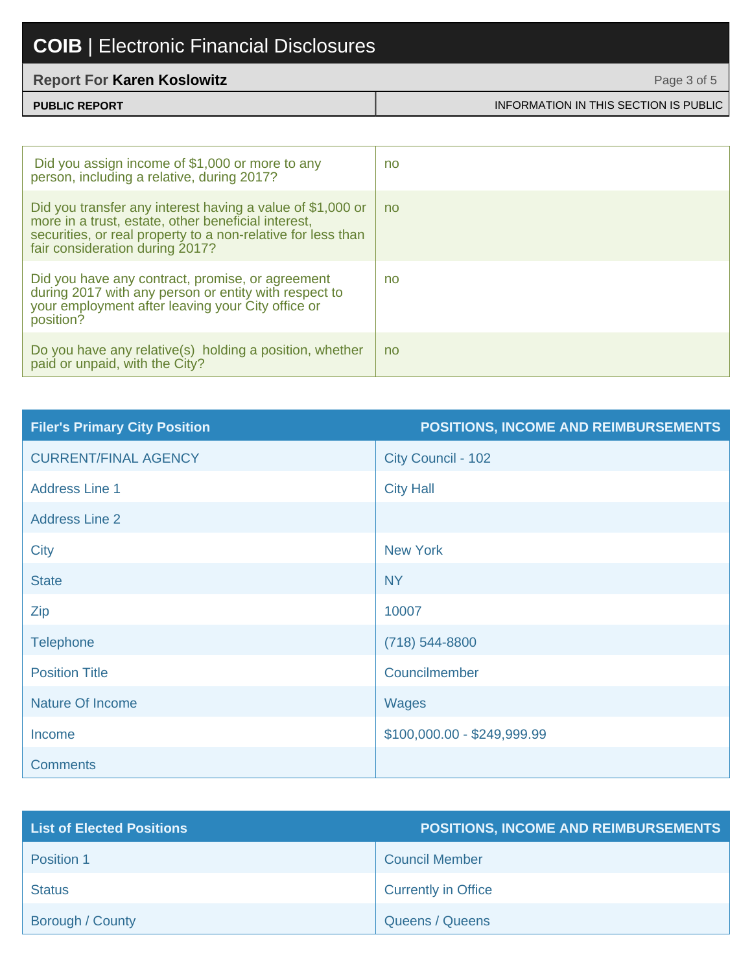#### **Report For Karen Koslowitz**

| <b>PUBLIC REPORT</b> | INFORMATION IN THIS SECTION IS PUBLIC |
|----------------------|---------------------------------------|

Page 3 of 5

| Did you assign income of \$1,000 or more to any<br>person, including a relative, during 2017?                                                                                                                        | no |
|----------------------------------------------------------------------------------------------------------------------------------------------------------------------------------------------------------------------|----|
| Did you transfer any interest having a value of \$1,000 or<br>more in a trust, estate, other beneficial interest,<br>securities, or real property to a non-relative for less than<br>fair consideration during 2017? | no |
| Did you have any contract, promise, or agreement<br>during 2017 with any person or entity with respect to<br>your employment after leaving your City office or<br>position?                                          | no |
| Do you have any relative(s) holding a position, whether<br>paid or unpaid, with the City?                                                                                                                            | no |

| <b>Filer's Primary City Position</b> | POSITIONS, INCOME AND REIMBURSEMENTS |
|--------------------------------------|--------------------------------------|
| <b>CURRENT/FINAL AGENCY</b>          | City Council - 102                   |
| <b>Address Line 1</b>                | <b>City Hall</b>                     |
| <b>Address Line 2</b>                |                                      |
| <b>City</b>                          | <b>New York</b>                      |
| <b>State</b>                         | <b>NY</b>                            |
| Zip                                  | 10007                                |
| <b>Telephone</b>                     | $(718) 544 - 8800$                   |
| <b>Position Title</b>                | Councilmember                        |
| <b>Nature Of Income</b>              | Wages                                |
| Income                               | \$100,000.00 - \$249,999.99          |
| <b>Comments</b>                      |                                      |

| <b>List of Elected Positions</b> | POSITIONS, INCOME AND REIMBURSEMENTS |
|----------------------------------|--------------------------------------|
| Position 1                       | <b>Council Member</b>                |
| <b>Status</b>                    | <b>Currently in Office</b>           |
| Borough / County                 | Queens / Queens                      |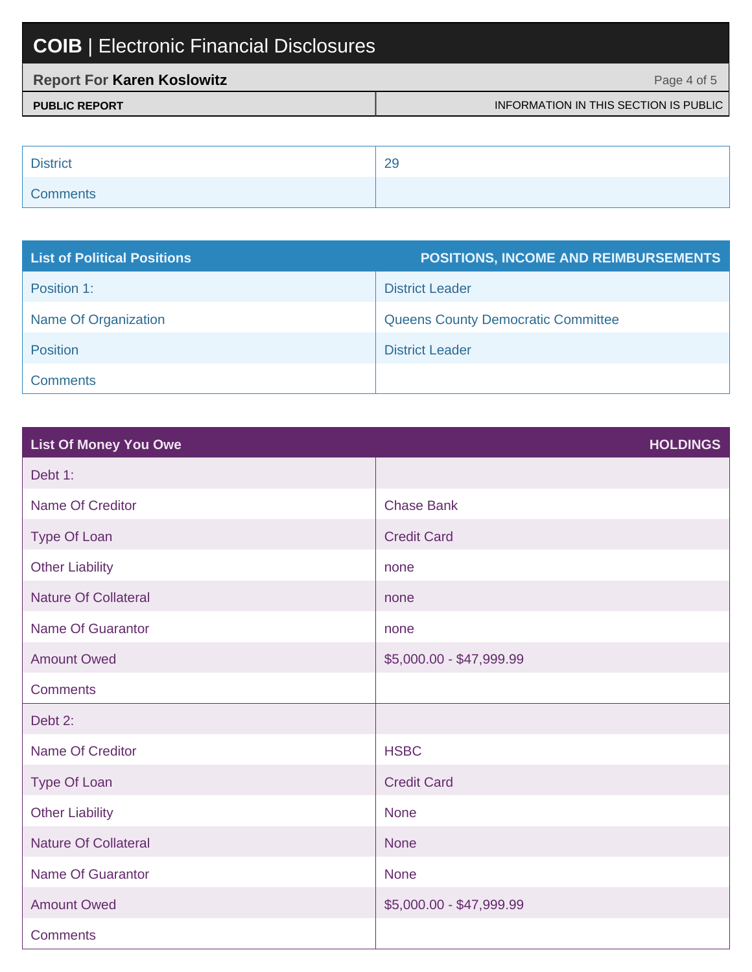| <b>Report For Karen Koslowitz</b> | Page 4 of 5                           |
|-----------------------------------|---------------------------------------|
| <b>PUBLIC REPORT</b>              | INFORMATION IN THIS SECTION IS PUBLIC |

| <b>District</b> | 29 |
|-----------------|----|
| <b>Comments</b> |    |

| <b>List of Political Positions</b> | <b>POSITIONS, INCOME AND REIMBURSEMENTS</b> |
|------------------------------------|---------------------------------------------|
| Position 1:                        | <b>District Leader</b>                      |
| Name Of Organization               | <b>Queens County Democratic Committee</b>   |
| <b>Position</b>                    | <b>District Leader</b>                      |
| <b>Comments</b>                    |                                             |

| <b>List Of Money You Owe</b> | <b>HOLDINGS</b>          |
|------------------------------|--------------------------|
| Debt 1:                      |                          |
| <b>Name Of Creditor</b>      | <b>Chase Bank</b>        |
| Type Of Loan                 | <b>Credit Card</b>       |
| <b>Other Liability</b>       | none                     |
| <b>Nature Of Collateral</b>  | none                     |
| <b>Name Of Guarantor</b>     | none                     |
| <b>Amount Owed</b>           | \$5,000.00 - \$47,999.99 |
| <b>Comments</b>              |                          |
| Debt 2:                      |                          |
| Name Of Creditor             | <b>HSBC</b>              |
| <b>Type Of Loan</b>          | <b>Credit Card</b>       |
| <b>Other Liability</b>       | <b>None</b>              |
| <b>Nature Of Collateral</b>  | <b>None</b>              |
| <b>Name Of Guarantor</b>     | <b>None</b>              |
| <b>Amount Owed</b>           | \$5,000.00 - \$47,999.99 |
| <b>Comments</b>              |                          |